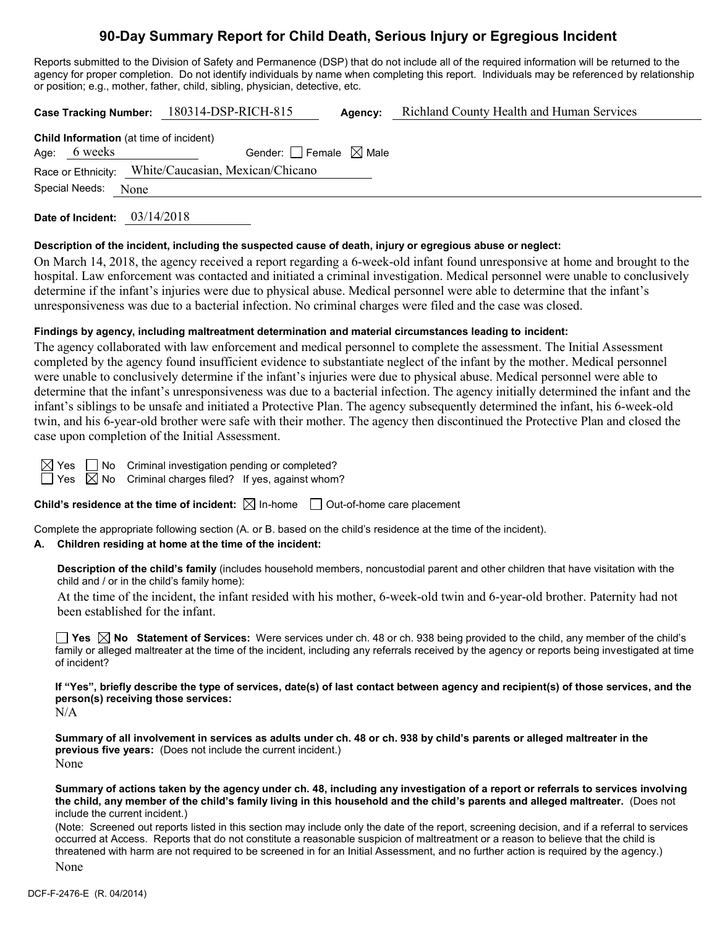# **90-Day Summary Report for Child Death, Serious Injury or Egregious Incident**

Reports submitted to the Division of Safety and Permanence (DSP) that do not include all of the required information will be returned to the agency for proper completion. Do not identify individuals by name when completing this report. Individuals may be referenced by relationship or position; e.g., mother, father, child, sibling, physician, detective, etc.

|                                                | Case Tracking Number: 180314-DSP-RICH-815           | Agency: | <b>Richland County Health and Human Services</b> |
|------------------------------------------------|-----------------------------------------------------|---------|--------------------------------------------------|
| <b>Child Information</b> (at time of incident) |                                                     |         |                                                  |
| Age: 6 weeks                                   | Gender: $ $ Female $\boxtimes$ Male                 |         |                                                  |
|                                                | Race or Ethnicity: White/Caucasian, Mexican/Chicano |         |                                                  |
| Special Needs: None                            |                                                     |         |                                                  |
|                                                |                                                     |         |                                                  |

**Date of Incident:** 03/14/2018

# **Description of the incident, including the suspected cause of death, injury or egregious abuse or neglect:**

On March 14, 2018, the agency received a report regarding a 6-week-old infant found unresponsive at home and brought to the hospital. Law enforcement was contacted and initiated a criminal investigation. Medical personnel were unable to conclusively determine if the infant's injuries were due to physical abuse. Medical personnel were able to determine that the infant's unresponsiveness was due to a bacterial infection. No criminal charges were filed and the case was closed.

# **Findings by agency, including maltreatment determination and material circumstances leading to incident:**

The agency collaborated with law enforcement and medical personnel to complete the assessment. The Initial Assessment completed by the agency found insufficient evidence to substantiate neglect of the infant by the mother. Medical personnel were unable to conclusively determine if the infant's injuries were due to physical abuse. Medical personnel were able to determine that the infant's unresponsiveness was due to a bacterial infection. The agency initially determined the infant and the infant's siblings to be unsafe and initiated a Protective Plan. The agency subsequently determined the infant, his 6-week-old twin, and his 6-year-old brother were safe with their mother. The agency then discontinued the Protective Plan and closed the case upon completion of the Initial Assessment.

 $\Box$  No Criminal investigation pending or completed?  $\boxtimes$  No Criminal charges filed? If yes, against whom?

**Child's residence at the time of incident:**  $\boxtimes$  In-home  $\Box$  Out-of-home care placement

Complete the appropriate following section (A. or B. based on the child's residence at the time of the incident).

# **A. Children residing at home at the time of the incident:**

**Description of the child's family** (includes household members, noncustodial parent and other children that have visitation with the child and / or in the child's family home):

At the time of the incident, the infant resided with his mother, 6-week-old twin and 6-year-old brother. Paternity had not been established for the infant.

**Yes No Statement of Services:** Were services under ch. 48 or ch. 938 being provided to the child, any member of the child's family or alleged maltreater at the time of the incident, including any referrals received by the agency or reports being investigated at time of incident?

**If "Yes", briefly describe the type of services, date(s) of last contact between agency and recipient(s) of those services, and the person(s) receiving those services:** N/A

**Summary of all involvement in services as adults under ch. 48 or ch. 938 by child's parents or alleged maltreater in the previous five years:** (Does not include the current incident.) None

**Summary of actions taken by the agency under ch. 48, including any investigation of a report or referrals to services involving the child, any member of the child's family living in this household and the child's parents and alleged maltreater.** (Does not include the current incident.)

(Note: Screened out reports listed in this section may include only the date of the report, screening decision, and if a referral to services occurred at Access. Reports that do not constitute a reasonable suspicion of maltreatment or a reason to believe that the child is threatened with harm are not required to be screened in for an Initial Assessment, and no further action is required by the agency.) None